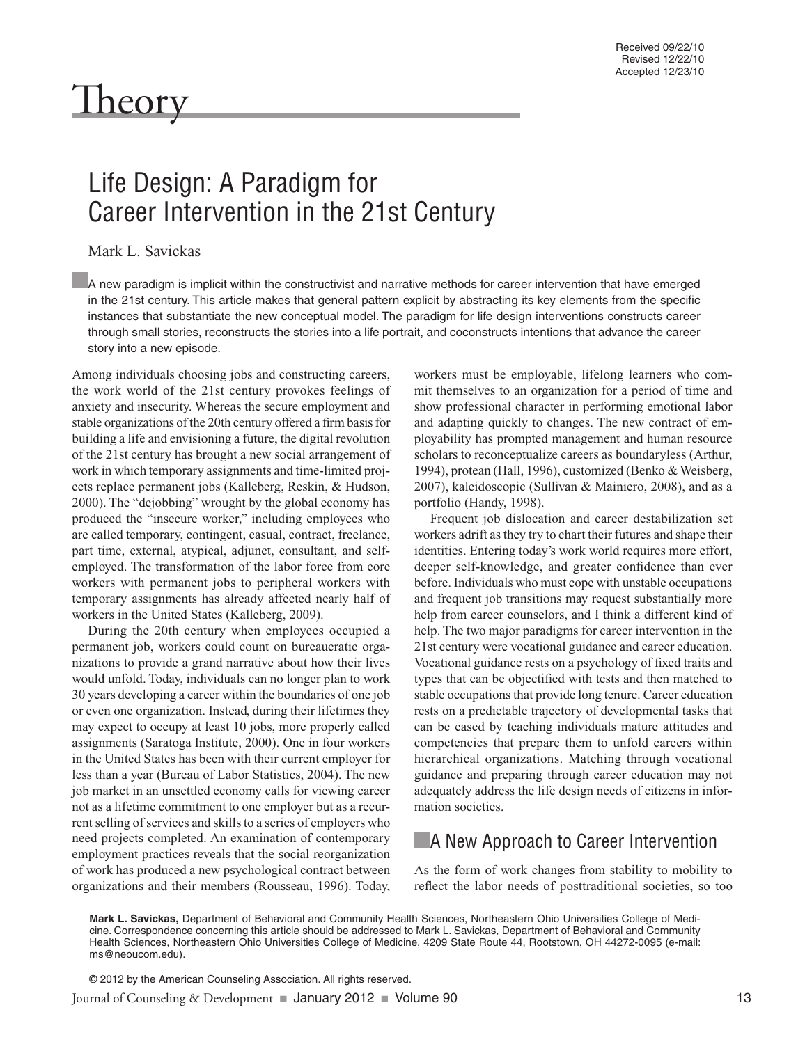# **Theory**

## Life Design: A Paradigm for Career Intervention in the 21st Century

#### Mark L. Savickas

A new paradigm is implicit within the constructivist and narrative methods for career intervention that have emerged in the 21st century. This article makes that general pattern explicit by abstracting its key elements from the specific instances that substantiate the new conceptual model. The paradigm for life design interventions constructs career through small stories, reconstructs the stories into a life portrait, and coconstructs intentions that advance the career story into a new episode.

Among individuals choosing jobs and constructing careers, the work world of the 21st century provokes feelings of anxiety and insecurity. Whereas the secure employment and stable organizations of the 20th century offered a firm basis for building a life and envisioning a future, the digital revolution of the 21st century has brought a new social arrangement of work in which temporary assignments and time-limited projects replace permanent jobs (Kalleberg, Reskin, & Hudson, 2000). The "dejobbing" wrought by the global economy has produced the "insecure worker," including employees who are called temporary, contingent, casual, contract, freelance, part time, external, atypical, adjunct, consultant, and selfemployed. The transformation of the labor force from core workers with permanent jobs to peripheral workers with temporary assignments has already affected nearly half of workers in the United States (Kalleberg, 2009).

During the 20th century when employees occupied a permanent job, workers could count on bureaucratic organizations to provide a grand narrative about how their lives would unfold. Today, individuals can no longer plan to work 30 years developing a career within the boundaries of one job or even one organization. Instead, during their lifetimes they may expect to occupy at least 10 jobs, more properly called assignments (Saratoga Institute, 2000). One in four workers in the United States has been with their current employer for less than a year (Bureau of Labor Statistics, 2004). The new job market in an unsettled economy calls for viewing career not as a lifetime commitment to one employer but as a recurrent selling of services and skills to a series of employers who need projects completed. An examination of contemporary employment practices reveals that the social reorganization of work has produced a new psychological contract between organizations and their members (Rousseau, 1996). Today,

workers must be employable, lifelong learners who commit themselves to an organization for a period of time and show professional character in performing emotional labor and adapting quickly to changes. The new contract of employability has prompted management and human resource scholars to reconceptualize careers as boundaryless (Arthur, 1994), protean (Hall, 1996), customized (Benko & Weisberg, 2007), kaleidoscopic (Sullivan & Mainiero, 2008), and as a portfolio (Handy, 1998).

Frequent job dislocation and career destabilization set workers adrift as they try to chart their futures and shape their identities. Entering today's work world requires more effort, deeper self-knowledge, and greater confidence than ever before. Individuals who must cope with unstable occupations and frequent job transitions may request substantially more help from career counselors, and I think a different kind of help. The two major paradigms for career intervention in the 21st century were vocational guidance and career education. Vocational guidance rests on a psychology of fixed traits and types that can be objectified with tests and then matched to stable occupations that provide long tenure. Career education rests on a predictable trajectory of developmental tasks that can be eased by teaching individuals mature attitudes and competencies that prepare them to unfold careers within hierarchical organizations. Matching through vocational guidance and preparing through career education may not adequately address the life design needs of citizens in information societies.

## **A New Approach to Career Intervention**

As the form of work changes from stability to mobility to reflect the labor needs of posttraditional societies, so too

**Mark L. Savickas,** Department of Behavioral and Community Health Sciences, Northeastern Ohio Universities College of Medicine. Correspondence concerning this article should be addressed to Mark L. Savickas, Department of Behavioral and Community Health Sciences, Northeastern Ohio Universities College of Medicine, 4209 State Route 44, Rootstown, OH 44272-0095 (e-mail: ms@neoucom.edu).

© 2012 by the American Counseling Association. All rights reserved.

Journal of Counseling & Development ■ January 2012 ■ Volume 90 13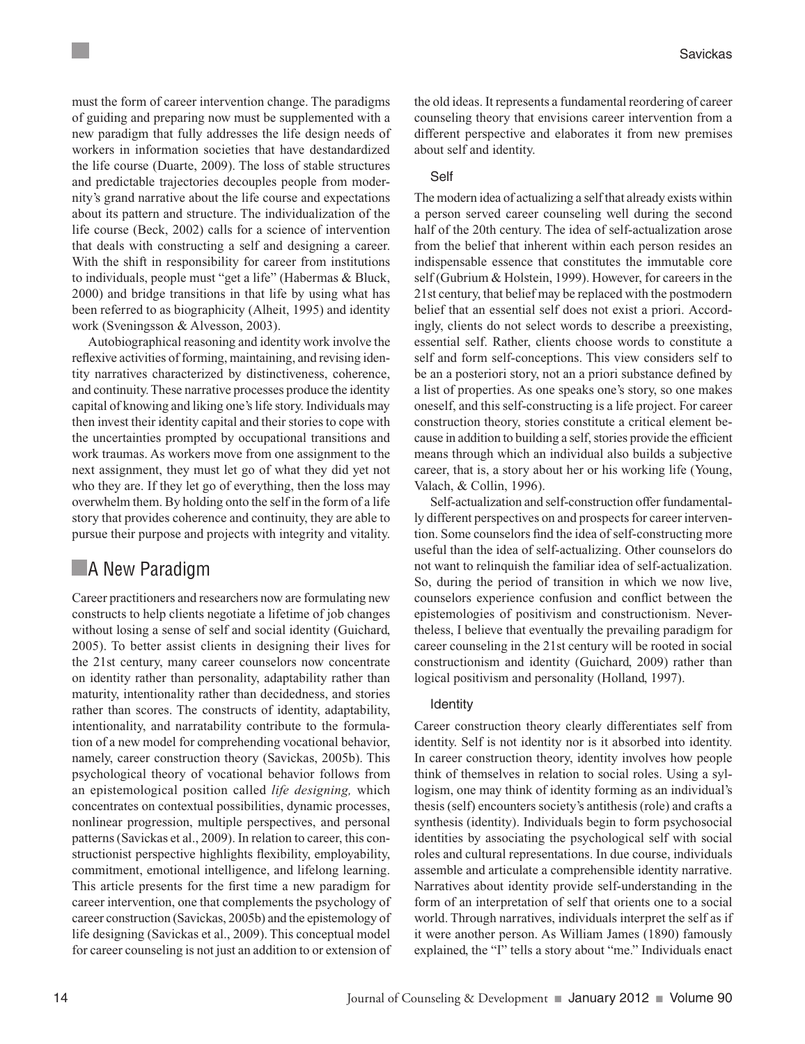must the form of career intervention change. The paradigms of guiding and preparing now must be supplemented with a new paradigm that fully addresses the life design needs of workers in information societies that have destandardized the life course (Duarte, 2009). The loss of stable structures and predictable trajectories decouples people from modernity's grand narrative about the life course and expectations about its pattern and structure. The individualization of the life course (Beck, 2002) calls for a science of intervention that deals with constructing a self and designing a career. With the shift in responsibility for career from institutions to individuals, people must "get a life" (Habermas & Bluck, 2000) and bridge transitions in that life by using what has been referred to as biographicity (Alheit, 1995) and identity work (Sveningsson & Alvesson, 2003).

Autobiographical reasoning and identity work involve the reflexive activities of forming, maintaining, and revising identity narratives characterized by distinctiveness, coherence, and continuity. These narrative processes produce the identity capital of knowing and liking one's life story. Individuals may then invest their identity capital and their stories to cope with the uncertainties prompted by occupational transitions and work traumas. As workers move from one assignment to the next assignment, they must let go of what they did yet not who they are. If they let go of everything, then the loss may overwhelm them. By holding onto the self in the form of a life story that provides coherence and continuity, they are able to pursue their purpose and projects with integrity and vitality.

## **A New Paradigm**

Career practitioners and researchers now are formulating new constructs to help clients negotiate a lifetime of job changes without losing a sense of self and social identity (Guichard, 2005). To better assist clients in designing their lives for the 21st century, many career counselors now concentrate on identity rather than personality, adaptability rather than maturity, intentionality rather than decidedness, and stories rather than scores. The constructs of identity, adaptability, intentionality, and narratability contribute to the formulation of a new model for comprehending vocational behavior, namely, career construction theory (Savickas, 2005b). This psychological theory of vocational behavior follows from an epistemological position called *life designing,* which concentrates on contextual possibilities, dynamic processes, nonlinear progression, multiple perspectives, and personal patterns (Savickas et al., 2009). In relation to career, this constructionist perspective highlights flexibility, employability, commitment, emotional intelligence, and lifelong learning. This article presents for the first time a new paradigm for career intervention, one that complements the psychology of career construction (Savickas, 2005b) and the epistemology of life designing (Savickas et al., 2009). This conceptual model for career counseling is not just an addition to or extension of the old ideas. It represents a fundamental reordering of career counseling theory that envisions career intervention from a different perspective and elaborates it from new premises about self and identity.

#### Self

The modern idea of actualizing a self that already exists within a person served career counseling well during the second half of the 20th century. The idea of self-actualization arose from the belief that inherent within each person resides an indispensable essence that constitutes the immutable core self (Gubrium & Holstein, 1999). However, for careers in the 21st century, that belief may be replaced with the postmodern belief that an essential self does not exist a priori. Accordingly, clients do not select words to describe a preexisting, essential self. Rather, clients choose words to constitute a self and form self-conceptions. This view considers self to be an a posteriori story, not an a priori substance defined by a list of properties. As one speaks one's story, so one makes oneself, and this self-constructing is a life project. For career construction theory, stories constitute a critical element because in addition to building a self, stories provide the efficient means through which an individual also builds a subjective career, that is, a story about her or his working life (Young, Valach, & Collin, 1996).

Self-actualization and self-construction offer fundamentally different perspectives on and prospects for career intervention. Some counselors find the idea of self-constructing more useful than the idea of self-actualizing. Other counselors do not want to relinquish the familiar idea of self-actualization. So, during the period of transition in which we now live, counselors experience confusion and conflict between the epistemologies of positivism and constructionism. Nevertheless, I believe that eventually the prevailing paradigm for career counseling in the 21st century will be rooted in social constructionism and identity (Guichard, 2009) rather than logical positivism and personality (Holland, 1997).

#### **Identity**

Career construction theory clearly differentiates self from identity. Self is not identity nor is it absorbed into identity. In career construction theory, identity involves how people think of themselves in relation to social roles. Using a syllogism, one may think of identity forming as an individual's thesis (self) encounters society's antithesis (role) and crafts a synthesis (identity). Individuals begin to form psychosocial identities by associating the psychological self with social roles and cultural representations. In due course, individuals assemble and articulate a comprehensible identity narrative. Narratives about identity provide self-understanding in the form of an interpretation of self that orients one to a social world. Through narratives, individuals interpret the self as if it were another person. As William James (1890) famously explained, the "I" tells a story about "me." Individuals enact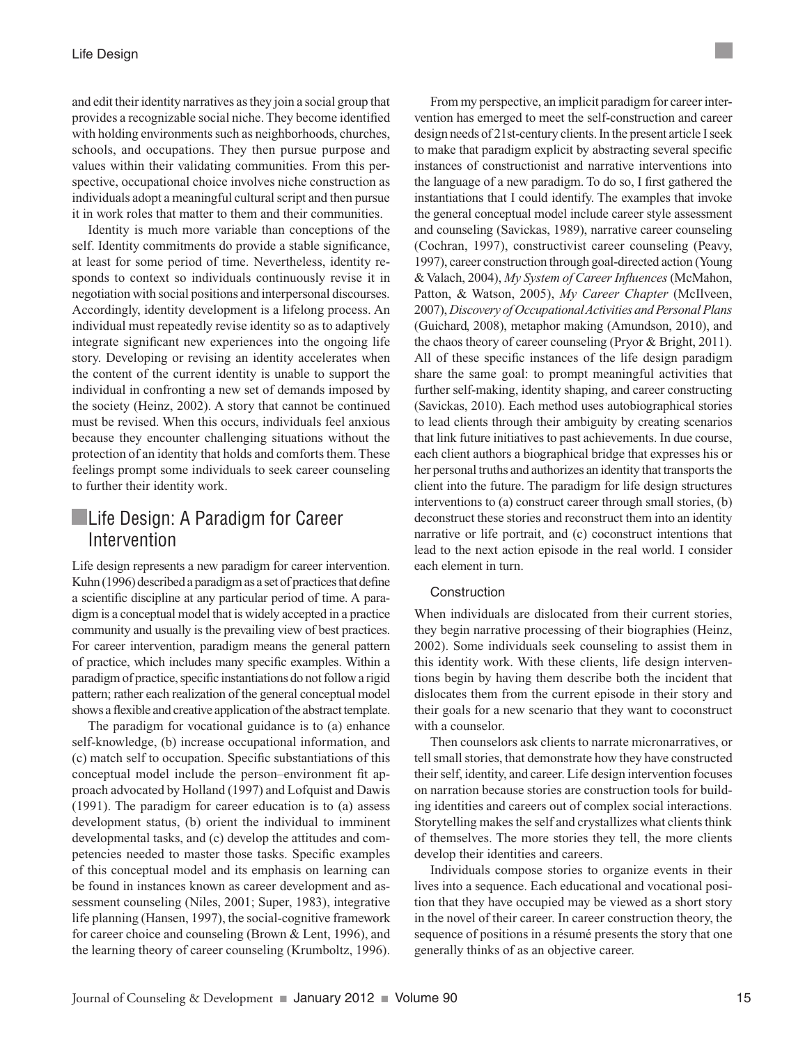and edit their identity narratives as they join a social group that provides a recognizable social niche. They become identified with holding environments such as neighborhoods, churches, schools, and occupations. They then pursue purpose and values within their validating communities. From this perspective, occupational choice involves niche construction as individuals adopt a meaningful cultural script and then pursue it in work roles that matter to them and their communities.

Identity is much more variable than conceptions of the self. Identity commitments do provide a stable significance, at least for some period of time. Nevertheless, identity responds to context so individuals continuously revise it in negotiation with social positions and interpersonal discourses. Accordingly, identity development is a lifelong process. An individual must repeatedly revise identity so as to adaptively integrate significant new experiences into the ongoing life story. Developing or revising an identity accelerates when the content of the current identity is unable to support the individual in confronting a new set of demands imposed by the society (Heinz, 2002). A story that cannot be continued must be revised. When this occurs, individuals feel anxious because they encounter challenging situations without the protection of an identity that holds and comforts them. These feelings prompt some individuals to seek career counseling to further their identity work.

## **Life Design: A Paradigm for Career** Intervention

Life design represents a new paradigm for career intervention. Kuhn (1996) described a paradigm as a set of practices that define a scientific discipline at any particular period of time. A paradigm is a conceptual model that is widely accepted in a practice community and usually is the prevailing view of best practices. For career intervention, paradigm means the general pattern of practice, which includes many specific examples. Within a paradigm of practice, specific instantiations do not follow a rigid pattern; rather each realization of the general conceptual model shows a flexible and creative application of the abstract template.

The paradigm for vocational guidance is to (a) enhance self-knowledge, (b) increase occupational information, and (c) match self to occupation. Specific substantiations of this conceptual model include the person–environment fit approach advocated by Holland (1997) and Lofquist and Dawis (1991). The paradigm for career education is to (a) assess development status, (b) orient the individual to imminent developmental tasks, and (c) develop the attitudes and competencies needed to master those tasks. Specific examples of this conceptual model and its emphasis on learning can be found in instances known as career development and assessment counseling (Niles, 2001; Super, 1983), integrative life planning (Hansen, 1997), the social-cognitive framework for career choice and counseling (Brown & Lent, 1996), and the learning theory of career counseling (Krumboltz, 1996).

From my perspective, an implicit paradigm for career intervention has emerged to meet the self-construction and career design needs of 21st-century clients. In the present article I seek to make that paradigm explicit by abstracting several specific instances of constructionist and narrative interventions into the language of a new paradigm. To do so, I first gathered the instantiations that I could identify. The examples that invoke the general conceptual model include career style assessment and counseling (Savickas, 1989), narrative career counseling (Cochran, 1997), constructivist career counseling (Peavy, 1997), career construction through goal-directed action (Young & Valach, 2004), *My System of Career Influences* (McMahon, Patton, & Watson, 2005), *My Career Chapter* (McIlveen, 2007), *Discovery of Occupational Activities and Personal Plans*  (Guichard, 2008), metaphor making (Amundson, 2010), and the chaos theory of career counseling (Pryor & Bright, 2011). All of these specific instances of the life design paradigm share the same goal: to prompt meaningful activities that further self-making, identity shaping, and career constructing (Savickas, 2010). Each method uses autobiographical stories to lead clients through their ambiguity by creating scenarios that link future initiatives to past achievements. In due course, each client authors a biographical bridge that expresses his or her personal truths and authorizes an identity that transports the client into the future. The paradigm for life design structures interventions to (a) construct career through small stories, (b) deconstruct these stories and reconstruct them into an identity narrative or life portrait, and (c) coconstruct intentions that lead to the next action episode in the real world. I consider each element in turn.

#### Construction

When individuals are dislocated from their current stories, they begin narrative processing of their biographies (Heinz, 2002). Some individuals seek counseling to assist them in this identity work. With these clients, life design interventions begin by having them describe both the incident that dislocates them from the current episode in their story and their goals for a new scenario that they want to coconstruct with a counselor.

Then counselors ask clients to narrate micronarratives, or tell small stories, that demonstrate how they have constructed their self, identity, and career. Life design intervention focuses on narration because stories are construction tools for building identities and careers out of complex social interactions. Storytelling makes the self and crystallizes what clients think of themselves. The more stories they tell, the more clients develop their identities and careers.

Individuals compose stories to organize events in their lives into a sequence. Each educational and vocational position that they have occupied may be viewed as a short story in the novel of their career. In career construction theory, the sequence of positions in a résumé presents the story that one generally thinks of as an objective career.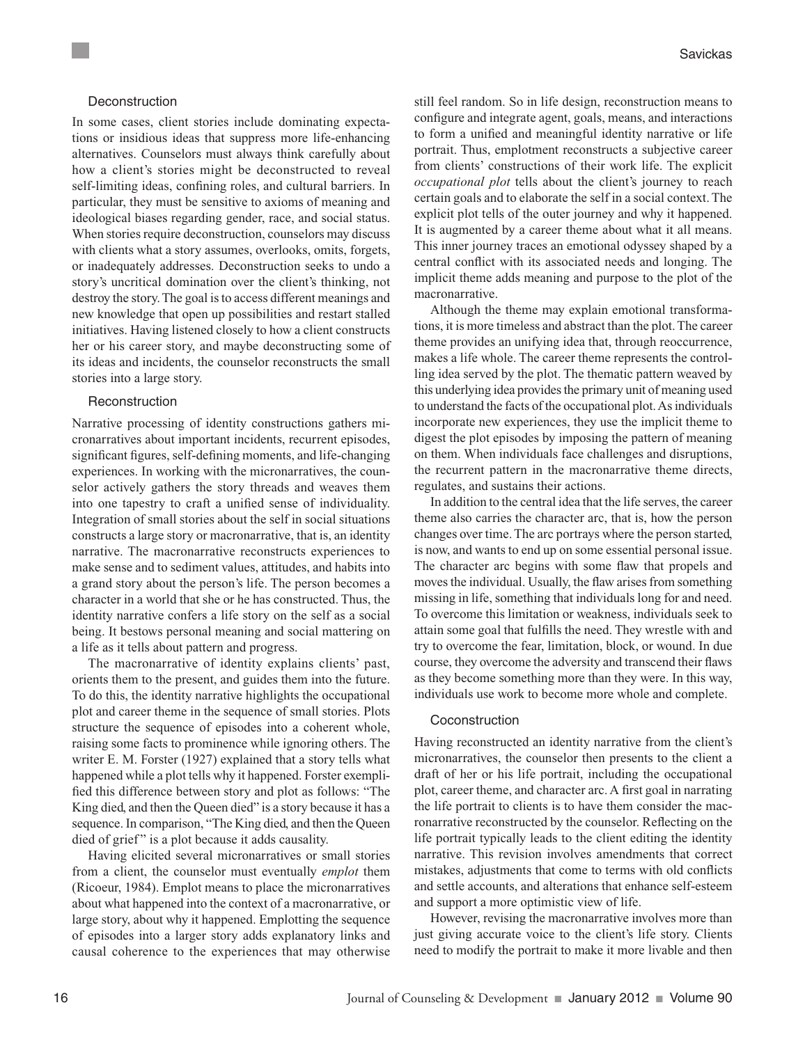#### **Deconstruction**

In some cases, client stories include dominating expectations or insidious ideas that suppress more life-enhancing alternatives. Counselors must always think carefully about how a client's stories might be deconstructed to reveal self-limiting ideas, confining roles, and cultural barriers. In particular, they must be sensitive to axioms of meaning and ideological biases regarding gender, race, and social status. When stories require deconstruction, counselors may discuss with clients what a story assumes, overlooks, omits, forgets, or inadequately addresses. Deconstruction seeks to undo a story's uncritical domination over the client's thinking, not destroy the story. The goal is to access different meanings and new knowledge that open up possibilities and restart stalled initiatives. Having listened closely to how a client constructs her or his career story, and maybe deconstructing some of its ideas and incidents, the counselor reconstructs the small stories into a large story.

#### **Reconstruction**

Narrative processing of identity constructions gathers micronarratives about important incidents, recurrent episodes, significant figures, self-defining moments, and life-changing experiences. In working with the micronarratives, the counselor actively gathers the story threads and weaves them into one tapestry to craft a unified sense of individuality. Integration of small stories about the self in social situations constructs a large story or macronarrative, that is, an identity narrative. The macronarrative reconstructs experiences to make sense and to sediment values, attitudes, and habits into a grand story about the person's life. The person becomes a character in a world that she or he has constructed. Thus, the identity narrative confers a life story on the self as a social being. It bestows personal meaning and social mattering on a life as it tells about pattern and progress.

The macronarrative of identity explains clients' past, orients them to the present, and guides them into the future. To do this, the identity narrative highlights the occupational plot and career theme in the sequence of small stories. Plots structure the sequence of episodes into a coherent whole, raising some facts to prominence while ignoring others. The writer E. M. Forster (1927) explained that a story tells what happened while a plot tells why it happened. Forster exemplified this difference between story and plot as follows: "The King died, and then the Queen died" is a story because it has a sequence. In comparison, "The King died, and then the Queen died of grief" is a plot because it adds causality.

Having elicited several micronarratives or small stories from a client, the counselor must eventually *emplot* them (Ricoeur, 1984). Emplot means to place the micronarratives about what happened into the context of a macronarrative, or large story, about why it happened. Emplotting the sequence of episodes into a larger story adds explanatory links and causal coherence to the experiences that may otherwise still feel random. So in life design, reconstruction means to configure and integrate agent, goals, means, and interactions to form a unified and meaningful identity narrative or life portrait. Thus, emplotment reconstructs a subjective career from clients' constructions of their work life. The explicit *occupational plot* tells about the client's journey to reach certain goals and to elaborate the self in a social context. The explicit plot tells of the outer journey and why it happened. It is augmented by a career theme about what it all means. This inner journey traces an emotional odyssey shaped by a central conflict with its associated needs and longing. The implicit theme adds meaning and purpose to the plot of the macronarrative.

Although the theme may explain emotional transformations, it is more timeless and abstract than the plot. The career theme provides an unifying idea that, through reoccurrence, makes a life whole. The career theme represents the controlling idea served by the plot. The thematic pattern weaved by this underlying idea provides the primary unit of meaning used to understand the facts of the occupational plot. As individuals incorporate new experiences, they use the implicit theme to digest the plot episodes by imposing the pattern of meaning on them. When individuals face challenges and disruptions, the recurrent pattern in the macronarrative theme directs, regulates, and sustains their actions.

In addition to the central idea that the life serves, the career theme also carries the character arc, that is, how the person changes over time. The arc portrays where the person started, is now, and wants to end up on some essential personal issue. The character arc begins with some flaw that propels and moves the individual. Usually, the flaw arises from something missing in life, something that individuals long for and need. To overcome this limitation or weakness, individuals seek to attain some goal that fulfills the need. They wrestle with and try to overcome the fear, limitation, block, or wound. In due course, they overcome the adversity and transcend their flaws as they become something more than they were. In this way, individuals use work to become more whole and complete.

#### Coconstruction

Having reconstructed an identity narrative from the client's micronarratives, the counselor then presents to the client a draft of her or his life portrait, including the occupational plot, career theme, and character arc. A first goal in narrating the life portrait to clients is to have them consider the macronarrative reconstructed by the counselor. Reflecting on the life portrait typically leads to the client editing the identity narrative. This revision involves amendments that correct mistakes, adjustments that come to terms with old conflicts and settle accounts, and alterations that enhance self-esteem and support a more optimistic view of life.

However, revising the macronarrative involves more than just giving accurate voice to the client's life story. Clients need to modify the portrait to make it more livable and then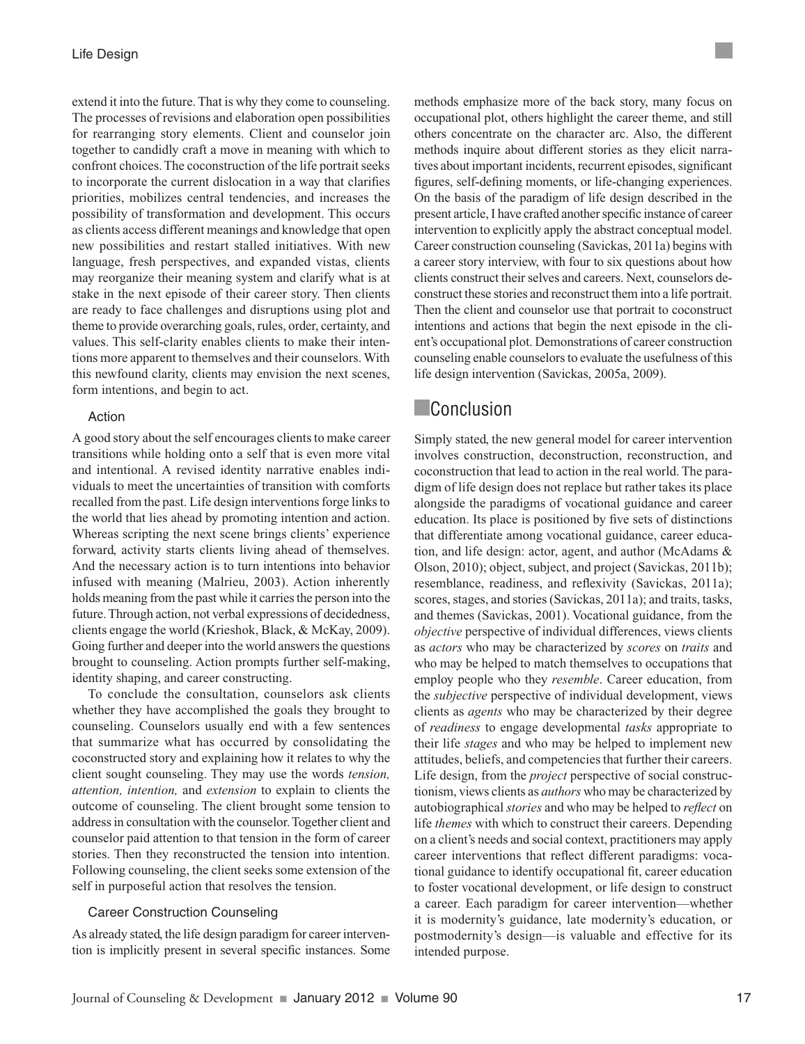extend it into the future. That is why they come to counseling. The processes of revisions and elaboration open possibilities for rearranging story elements. Client and counselor join together to candidly craft a move in meaning with which to confront choices. The coconstruction of the life portrait seeks to incorporate the current dislocation in a way that clarifies priorities, mobilizes central tendencies, and increases the possibility of transformation and development. This occurs as clients access different meanings and knowledge that open new possibilities and restart stalled initiatives. With new language, fresh perspectives, and expanded vistas, clients may reorganize their meaning system and clarify what is at stake in the next episode of their career story. Then clients are ready to face challenges and disruptions using plot and theme to provide overarching goals, rules, order, certainty, and values. This self-clarity enables clients to make their intentions more apparent to themselves and their counselors. With this newfound clarity, clients may envision the next scenes, form intentions, and begin to act.

#### Action

A good story about the self encourages clients to make career transitions while holding onto a self that is even more vital and intentional. A revised identity narrative enables individuals to meet the uncertainties of transition with comforts recalled from the past. Life design interventions forge links to the world that lies ahead by promoting intention and action. Whereas scripting the next scene brings clients' experience forward, activity starts clients living ahead of themselves. And the necessary action is to turn intentions into behavior infused with meaning (Malrieu, 2003). Action inherently holds meaning from the past while it carries the person into the future. Through action, not verbal expressions of decidedness, clients engage the world (Krieshok, Black, & McKay, 2009). Going further and deeper into the world answers the questions brought to counseling. Action prompts further self-making, identity shaping, and career constructing.

To conclude the consultation, counselors ask clients whether they have accomplished the goals they brought to counseling. Counselors usually end with a few sentences that summarize what has occurred by consolidating the coconstructed story and explaining how it relates to why the client sought counseling. They may use the words *tension, attention, intention,* and *extension* to explain to clients the outcome of counseling. The client brought some tension to address in consultation with the counselor. Together client and counselor paid attention to that tension in the form of career stories. Then they reconstructed the tension into intention. Following counseling, the client seeks some extension of the self in purposeful action that resolves the tension.

#### Career Construction Counseling

As already stated, the life design paradigm for career intervention is implicitly present in several specific instances. Some methods emphasize more of the back story, many focus on occupational plot, others highlight the career theme, and still others concentrate on the character arc. Also, the different methods inquire about different stories as they elicit narratives about important incidents, recurrent episodes, significant figures, self-defining moments, or life-changing experiences. On the basis of the paradigm of life design described in the present article, I have crafted another specific instance of career intervention to explicitly apply the abstract conceptual model. Career construction counseling (Savickas, 2011a) begins with a career story interview, with four to six questions about how clients construct their selves and careers. Next, counselors deconstruct these stories and reconstruct them into a life portrait. Then the client and counselor use that portrait to coconstruct intentions and actions that begin the next episode in the client's occupational plot. Demonstrations of career construction counseling enable counselors to evaluate the usefulness of this life design intervention (Savickas, 2005a, 2009).

## **Conclusion**

Simply stated, the new general model for career intervention involves construction, deconstruction, reconstruction, and coconstruction that lead to action in the real world. The paradigm of life design does not replace but rather takes its place alongside the paradigms of vocational guidance and career education. Its place is positioned by five sets of distinctions that differentiate among vocational guidance, career education, and life design: actor, agent, and author (McAdams & Olson, 2010); object, subject, and project (Savickas, 2011b); resemblance, readiness, and reflexivity (Savickas, 2011a); scores, stages, and stories (Savickas, 2011a); and traits, tasks, and themes (Savickas, 2001). Vocational guidance, from the *objective* perspective of individual differences, views clients as *actors* who may be characterized by *scores* on *traits* and who may be helped to match themselves to occupations that employ people who they *resemble*. Career education, from the *subjective* perspective of individual development, views clients as *agents* who may be characterized by their degree of *readiness* to engage developmental *tasks* appropriate to their life *stages* and who may be helped to implement new attitudes, beliefs, and competencies that further their careers. Life design, from the *project* perspective of social constructionism, views clients as *authors* who may be characterized by autobiographical *stories* and who may be helped to *reflect* on life *themes* with which to construct their careers. Depending on a client's needs and social context, practitioners may apply career interventions that reflect different paradigms: vocational guidance to identify occupational fit, career education to foster vocational development, or life design to construct a career. Each paradigm for career intervention—whether it is modernity's guidance, late modernity's education, or postmodernity's design—is valuable and effective for its intended purpose.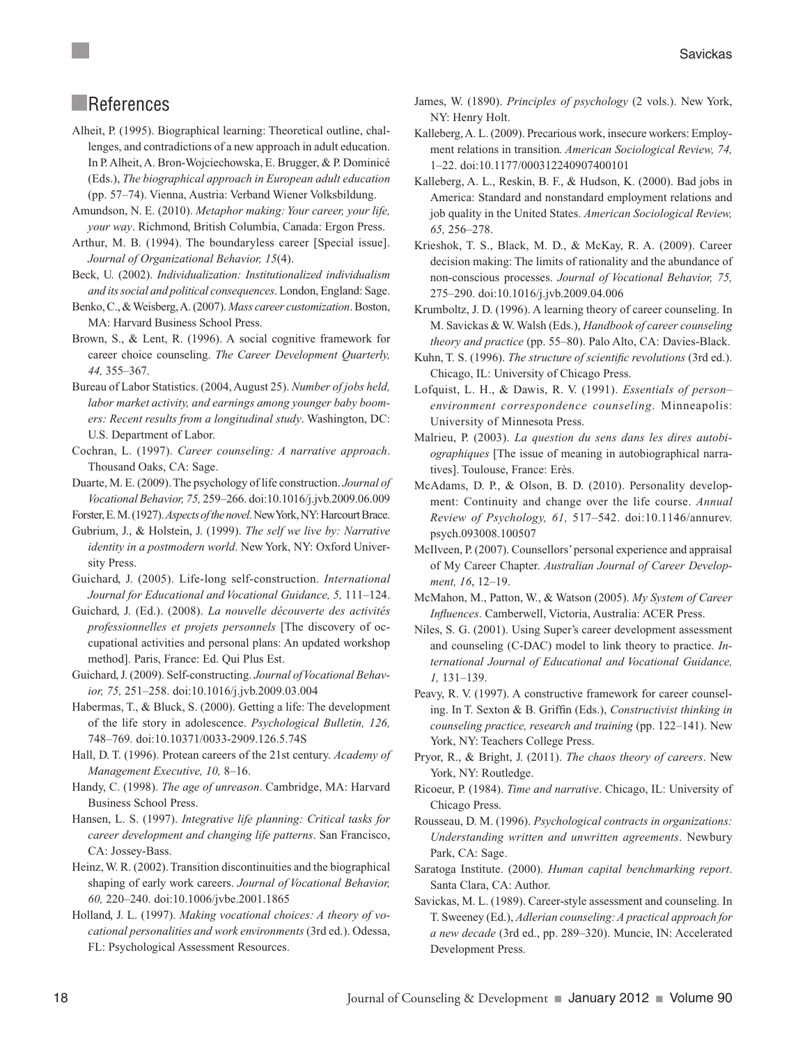### **References**

- Alheit, P. (1995). Biographical learning: Theoretical outline, challenges, and contradictions of a new approach in adult education. In P. Alheit, A. Bron-Wojciechowska, E. Brugger, & P. Dominicé (Eds.), *The biographical approach in European adult education*  (pp. 57–74). Vienna, Austria: Verband Wiener Volksbildung.
- Amundson, N. E. (2010). *Metaphor making: Your career, your life, your way*. Richmond, British Columbia, Canada: Ergon Press.
- Arthur, M. B. (1994). The boundaryless career [Special issue]. *Journal of Organizational Behavior, 15*(4).
- Beck, U. (2002). *Individualization: Institutionalized individualism and its social and political consequences*. London, England: Sage.
- Benko, C., & Weisberg, A. (2007). *Mass career customization*. Boston, MA: Harvard Business School Press.
- Brown, S., & Lent, R. (1996). A social cognitive framework for career choice counseling. *The Career Development Quarterly, 44,* 355–367.
- Bureau of Labor Statistics. (2004, August 25). *Number of jobs held, labor market activity, and earnings among younger baby boomers: Recent results from a longitudinal study*. Washington, DC: U.S. Department of Labor.
- Cochran, L. (1997). *Career counseling: A narrative approach*. Thousand Oaks, CA: Sage.
- Duarte, M. E. (2009). The psychology of life construction. *Journal of Vocational Behavior, 75,* 259–266. doi:10.1016/j.jvb.2009.06.009
- Forster, E. M. (1927). *Aspects of the novel*. New York, NY: Harcourt Brace.
- Gubrium, J., & Holstein, J. (1999). *The self we live by: Narrative identity in a postmodern world*. New York, NY: Oxford University Press.
- Guichard, J. (2005). Life-long self-construction. *International Journal for Educational and Vocational Guidance, 5,* 111–124.
- Guichard, J. (Ed.). (2008). *La nouvelle découverte des activités professionnelles et projets personnels* [The discovery of occupational activities and personal plans: An updated workshop method]. Paris, France: Ed. Qui Plus Est.
- Guichard, J. (2009). Self-constructing. *Journal of Vocational Behavior, 75,* 251–258. doi:10.1016/j.jvb.2009.03.004
- Habermas, T., & Bluck, S. (2000). Getting a life: The development of the life story in adolescence. *Psychological Bulletin, 126,* 748–769*.* doi:10.10371/0033-2909.126.5.74S
- Hall, D. T. (1996). Protean careers of the 21st century. *Academy of Management Executive, 10,* 8–16.
- Handy, C. (1998). *The age of unreason*. Cambridge, MA: Harvard Business School Press.
- Hansen, L. S. (1997). *Integrative life planning: Critical tasks for career development and changing life patterns*. San Francisco, CA: Jossey-Bass.
- Heinz, W. R. (2002). Transition discontinuities and the biographical shaping of early work careers. *Journal of Vocational Behavior, 60,* 220–240. doi:10.1006/jvbe.2001.1865
- Holland, J. L. (1997). *Making vocational choices: A theory of vocational personalities and work environments* (3rd ed.). Odessa, FL: Psychological Assessment Resources.
- James, W. (1890). *Principles of psychology* (2 vols.). New York, NY: Henry Holt.
- Kalleberg, A. L. (2009). Precarious work, insecure workers: Employment relations in transition*. American Sociological Review, 74,* 1–22. doi:10.1177/000312240907400101
- Kalleberg, A. L., Reskin, B. F., & Hudson, K. (2000). Bad jobs in America: Standard and nonstandard employment relations and job quality in the United States. *American Sociological Review, 65,* 256–278.
- Krieshok, T. S., Black, M. D., & McKay, R. A. (2009). Career decision making: The limits of rationality and the abundance of non-conscious processes. *Journal of Vocational Behavior, 75,* 275–290. doi:10.1016/j.jvb.2009.04.006
- Krumboltz, J. D. (1996). A learning theory of career counseling. In M. Savickas & W. Walsh (Eds.), *Handbook of career counseling theory and practice* (pp. 55–80). Palo Alto, CA: Davies-Black.
- Kuhn, T. S. (1996). *The structure of scientific revolutions* (3rd ed.). Chicago, IL: University of Chicago Press.
- Lofquist, L. H., & Dawis, R. V. (1991). *Essentials of person– environment correspondence counseling*. Minneapolis: University of Minnesota Press.
- Malrieu, P. (2003). *La question du sens dans les dires autobiographiques* [The issue of meaning in autobiographical narratives]. Toulouse, France: Erès.
- McAdams, D. P., & Olson, B. D. (2010). Personality development: Continuity and change over the life course. *Annual Review of Psychology, 61,* 517–542. doi:10.1146/annurev. psych.093008.100507
- McIlveen, P. (2007). Counsellors' personal experience and appraisal of My Career Chapter. *Australian Journal of Career Development, 16*, 12–19.
- McMahon, M., Patton, W., & Watson (2005). *My System of Career Influences*. Camberwell, Victoria, Australia: ACER Press.
- Niles, S. G. (2001). Using Super's career development assessment and counseling (C-DAC) model to link theory to practice. *International Journal of Educational and Vocational Guidance, 1,* 131–139.
- Peavy, R. V. (1997). A constructive framework for career counseling. In T. Sexton & B. Griffin (Eds.), *Constructivist thinking in counseling practice, research and training* (pp. 122–141). New York, NY: Teachers College Press.
- Pryor, R., & Bright, J. (2011). *The chaos theory of careers*. New York, NY: Routledge.
- Ricoeur, P. (1984). *Time and narrative*. Chicago, IL: University of Chicago Press.
- Rousseau, D. M. (1996). *Psychological contracts in organizations: Understanding written and unwritten agreements*. Newbury Park, CA: Sage.
- Saratoga Institute. (2000). *Human capital benchmarking report*. Santa Clara, CA: Author.
- Savickas, M. L. (1989). Career-style assessment and counseling. In T. Sweeney (Ed.), *Adlerian counseling: A practical approach for a new decade* (3rd ed., pp. 289–320). Muncie, IN: Accelerated Development Press.